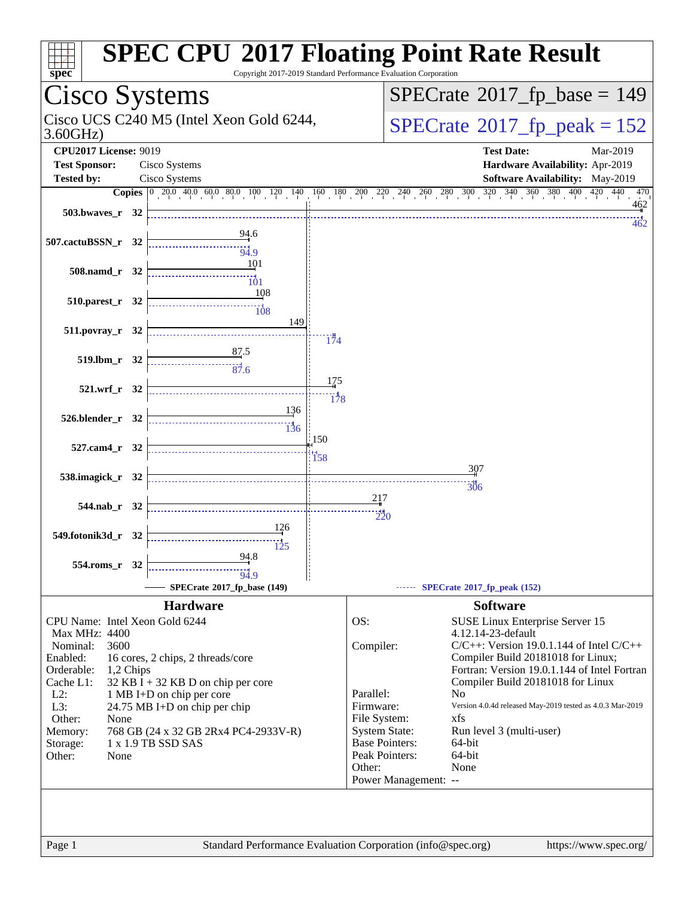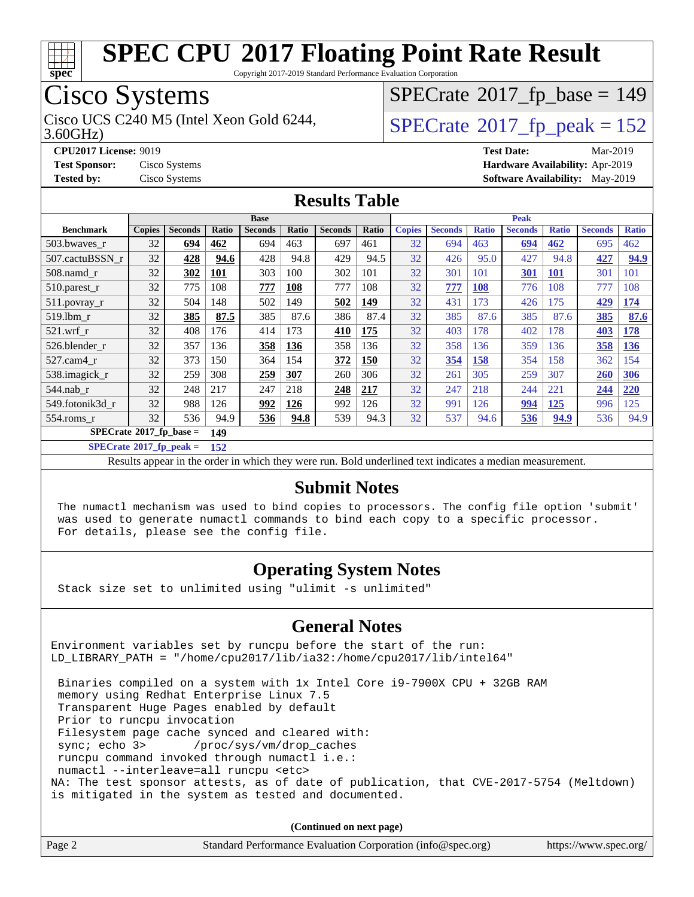

Copyright 2017-2019 Standard Performance Evaluation Corporation

## Cisco Systems

Cisco UCS C240 M5 (Intel Xeon Gold 6244,  $SPECrate@2017_fp\_peak = 152$  $SPECrate@2017_fp\_peak = 152$ 

 $SPECrate$ <sup>®</sup>[2017\\_fp\\_base =](http://www.spec.org/auto/cpu2017/Docs/result-fields.html#SPECrate2017fpbase) 149

3.60GHz)

**[CPU2017 License:](http://www.spec.org/auto/cpu2017/Docs/result-fields.html#CPU2017License)** 9019 **[Test Date:](http://www.spec.org/auto/cpu2017/Docs/result-fields.html#TestDate)** Mar-2019 **[Test Sponsor:](http://www.spec.org/auto/cpu2017/Docs/result-fields.html#TestSponsor)** Cisco Systems **[Hardware Availability:](http://www.spec.org/auto/cpu2017/Docs/result-fields.html#HardwareAvailability)** Apr-2019 **[Tested by:](http://www.spec.org/auto/cpu2017/Docs/result-fields.html#Testedby)** Cisco Systems **[Software Availability:](http://www.spec.org/auto/cpu2017/Docs/result-fields.html#SoftwareAvailability)** May-2019

### **[Results Table](http://www.spec.org/auto/cpu2017/Docs/result-fields.html#ResultsTable)**

|                                        | <b>Base</b>   |                |            |                | <b>Peak</b> |                |       |               |                |              |                |              |                |              |
|----------------------------------------|---------------|----------------|------------|----------------|-------------|----------------|-------|---------------|----------------|--------------|----------------|--------------|----------------|--------------|
| <b>Benchmark</b>                       | <b>Copies</b> | <b>Seconds</b> | Ratio      | <b>Seconds</b> | Ratio       | <b>Seconds</b> | Ratio | <b>Copies</b> | <b>Seconds</b> | <b>Ratio</b> | <b>Seconds</b> | <b>Ratio</b> | <b>Seconds</b> | <b>Ratio</b> |
| 503.bwaves_r                           | 32            | 694            | 462        | 694            | 463         | 697            | 461   | 32            | 694            | 463          | 694            | 462          | 695            | 462          |
| 507.cactuBSSN r                        | 32            | 428            | 94.6       | 428            | 94.8        | 429            | 94.5  | 32            | 426            | 95.0         | 427            | 94.8         | 427            | 94.9         |
| $508$ .namd $r$                        | 32            | 302            | <b>101</b> | 303            | 100         | 302            | 101   | 32            | 301            | 101          | 301            | <b>101</b>   | 301            | 101          |
| $510.parest_r$                         | 32            | 775            | 108        | 777            | <b>108</b>  | 777            | 108   | 32            | 777            | <b>108</b>   | 776            | 108          | 777            | 108          |
| 511.povray_r                           | 32            | 504            | 148        | 502            | 149         | 502            | 149   | 32            | 431            | 173          | 426            | 175          | 429            | 174          |
| 519.1bm r                              | 32            | 385            | 87.5       | 385            | 87.6        | 386            | 87.4  | 32            | 385            | 87.6         | 385            | 87.6         | 385            | 87.6         |
| $521$ .wrf r                           | 32            | 408            | 176        | 414            | 173         | 410            | 175   | 32            | 403            | 178          | 402            | 178          | 403            | 178          |
| 526.blender r                          | 32            | 357            | 136        | 358            | <b>136</b>  | 358            | 136   | 32            | 358            | 136          | 359            | 136          | 358            | <b>136</b>   |
| 527.cam4 r                             | 32            | 373            | 150        | 364            | 154         | 372            | 150   | 32            | 354            | 158          | 354            | 158          | 362            | 154          |
| 538.imagick_r                          | 32            | 259            | 308        | <u>259</u>     | 307         | 260            | 306   | 32            | 261            | 305          | 259            | 307          | 260            | 306          |
| $544$ .nab r                           | 32            | 248            | 217        | 247            | 218         | 248            | 217   | 32            | 247            | 218          | 244            | 221          | 244            | <b>220</b>   |
| 549.fotonik3d r                        | 32            | 988            | 126        | 992            | 126         | 992            | 126   | 32            | 991            | 126          | 994            | <u>125</u>   | 996            | 125          |
| $554$ .roms r                          | 32            | 536            | 94.9       | 536            | 94.8        | 539            | 94.3  | 32            | 537            | 94.6         | 536            | 94.9         | 536            | 94.9         |
| $SPECrate$ <sup>®</sup> 2017_fp_base = |               | 149            |            |                |             |                |       |               |                |              |                |              |                |              |

**[SPECrate](http://www.spec.org/auto/cpu2017/Docs/result-fields.html#SPECrate2017fppeak)[2017\\_fp\\_peak =](http://www.spec.org/auto/cpu2017/Docs/result-fields.html#SPECrate2017fppeak) 152**

Results appear in the [order in which they were run.](http://www.spec.org/auto/cpu2017/Docs/result-fields.html#RunOrder) Bold underlined text [indicates a median measurement.](http://www.spec.org/auto/cpu2017/Docs/result-fields.html#Median)

#### **[Submit Notes](http://www.spec.org/auto/cpu2017/Docs/result-fields.html#SubmitNotes)**

 The numactl mechanism was used to bind copies to processors. The config file option 'submit' was used to generate numactl commands to bind each copy to a specific processor. For details, please see the config file.

#### **[Operating System Notes](http://www.spec.org/auto/cpu2017/Docs/result-fields.html#OperatingSystemNotes)**

Stack size set to unlimited using "ulimit -s unlimited"

#### **[General Notes](http://www.spec.org/auto/cpu2017/Docs/result-fields.html#GeneralNotes)**

Environment variables set by runcpu before the start of the run: LD\_LIBRARY\_PATH = "/home/cpu2017/lib/ia32:/home/cpu2017/lib/intel64"

 Binaries compiled on a system with 1x Intel Core i9-7900X CPU + 32GB RAM memory using Redhat Enterprise Linux 7.5 Transparent Huge Pages enabled by default Prior to runcpu invocation Filesystem page cache synced and cleared with: sync; echo 3> /proc/sys/vm/drop\_caches runcpu command invoked through numactl i.e.: numactl --interleave=all runcpu <etc> NA: The test sponsor attests, as of date of publication, that CVE-2017-5754 (Meltdown) is mitigated in the system as tested and documented.

**(Continued on next page)**

| Page 2<br>Standard Performance Evaluation Corporation (info@spec.org) | https://www.spec.org/ |
|-----------------------------------------------------------------------|-----------------------|
|-----------------------------------------------------------------------|-----------------------|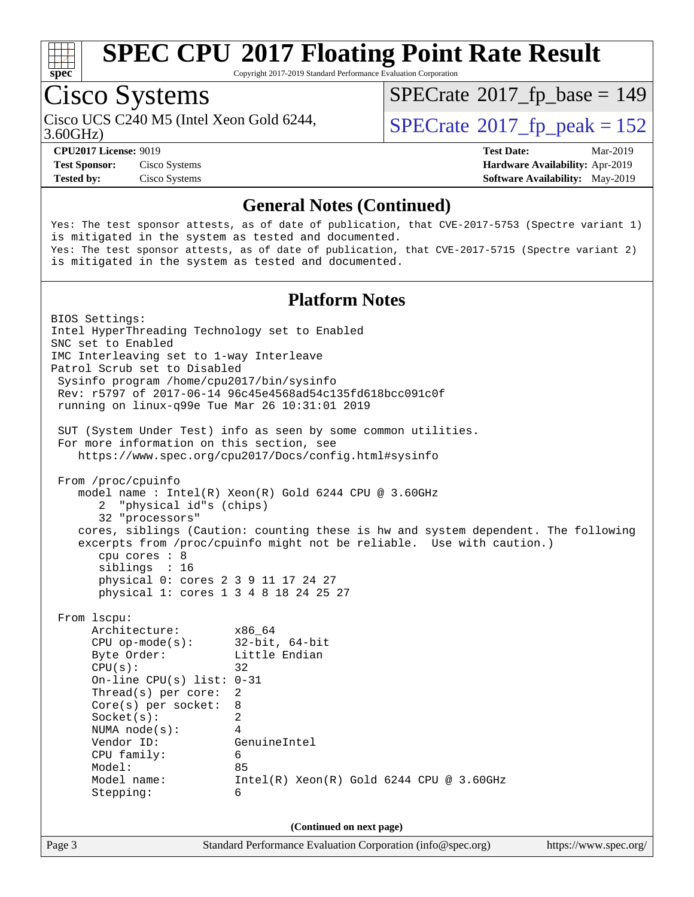

Copyright 2017-2019 Standard Performance Evaluation Corporation

## Cisco Systems

Cisco UCS C240 M5 (Intel Xeon Gold 6244,  $SPECrate@2017_fp\_peak = 152$  $SPECrate@2017_fp\_peak = 152$ 

 $SPECTate$ <sup>®</sup>[2017\\_fp\\_base =](http://www.spec.org/auto/cpu2017/Docs/result-fields.html#SPECrate2017fpbase) 149

3.60GHz)

**[Test Sponsor:](http://www.spec.org/auto/cpu2017/Docs/result-fields.html#TestSponsor)** Cisco Systems **[Hardware Availability:](http://www.spec.org/auto/cpu2017/Docs/result-fields.html#HardwareAvailability)** Apr-2019

**[CPU2017 License:](http://www.spec.org/auto/cpu2017/Docs/result-fields.html#CPU2017License)** 9019 **[Test Date:](http://www.spec.org/auto/cpu2017/Docs/result-fields.html#TestDate)** Mar-2019 **[Tested by:](http://www.spec.org/auto/cpu2017/Docs/result-fields.html#Testedby)** Cisco Systems **[Software Availability:](http://www.spec.org/auto/cpu2017/Docs/result-fields.html#SoftwareAvailability)** May-2019

#### **[General Notes \(Continued\)](http://www.spec.org/auto/cpu2017/Docs/result-fields.html#GeneralNotes)**

Yes: The test sponsor attests, as of date of publication, that CVE-2017-5753 (Spectre variant 1) is mitigated in the system as tested and documented. Yes: The test sponsor attests, as of date of publication, that CVE-2017-5715 (Spectre variant 2) is mitigated in the system as tested and documented.

#### **[Platform Notes](http://www.spec.org/auto/cpu2017/Docs/result-fields.html#PlatformNotes)**

Page 3 Standard Performance Evaluation Corporation [\(info@spec.org\)](mailto:info@spec.org) <https://www.spec.org/> BIOS Settings: Intel HyperThreading Technology set to Enabled SNC set to Enabled IMC Interleaving set to 1-way Interleave Patrol Scrub set to Disabled Sysinfo program /home/cpu2017/bin/sysinfo Rev: r5797 of 2017-06-14 96c45e4568ad54c135fd618bcc091c0f running on linux-q99e Tue Mar 26 10:31:01 2019 SUT (System Under Test) info as seen by some common utilities. For more information on this section, see <https://www.spec.org/cpu2017/Docs/config.html#sysinfo> From /proc/cpuinfo model name : Intel(R) Xeon(R) Gold 6244 CPU @ 3.60GHz 2 "physical id"s (chips) 32 "processors" cores, siblings (Caution: counting these is hw and system dependent. The following excerpts from /proc/cpuinfo might not be reliable. Use with caution.) cpu cores : 8 siblings : 16 physical 0: cores 2 3 9 11 17 24 27 physical 1: cores 1 3 4 8 18 24 25 27 From lscpu: Architecture: x86\_64 CPU op-mode(s): 32-bit, 64-bit Byte Order: Little Endian  $CPU(s):$  32 On-line CPU(s) list: 0-31 Thread(s) per core: 2 Core(s) per socket: 8 Socket(s): 2 NUMA node(s): 4 Vendor ID: GenuineIntel CPU family: 6 Model: 85 Model name: Intel(R) Xeon(R) Gold 6244 CPU @ 3.60GHz Stepping: 6 **(Continued on next page)**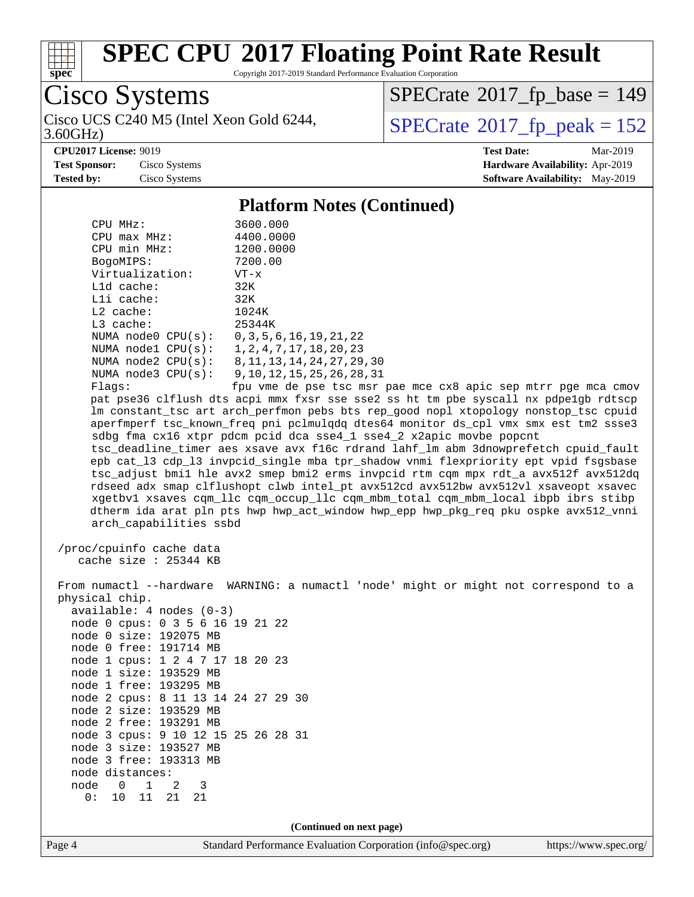

Copyright 2017-2019 Standard Performance Evaluation Corporation

Cisco Systems

3.60GHz) Cisco UCS C240 M5 (Intel Xeon Gold 6244,  $SPECrate@2017_fp\_peak = 152$  $SPECrate@2017_fp\_peak = 152$ 

 $SPECTate$ <sup>®</sup>[2017\\_fp\\_base =](http://www.spec.org/auto/cpu2017/Docs/result-fields.html#SPECrate2017fpbase) 149

**[CPU2017 License:](http://www.spec.org/auto/cpu2017/Docs/result-fields.html#CPU2017License)** 9019 **[Test Date:](http://www.spec.org/auto/cpu2017/Docs/result-fields.html#TestDate)** Mar-2019

**[Test Sponsor:](http://www.spec.org/auto/cpu2017/Docs/result-fields.html#TestSponsor)** Cisco Systems **[Hardware Availability:](http://www.spec.org/auto/cpu2017/Docs/result-fields.html#HardwareAvailability)** Apr-2019 **[Tested by:](http://www.spec.org/auto/cpu2017/Docs/result-fields.html#Testedby)** Cisco Systems **[Software Availability:](http://www.spec.org/auto/cpu2017/Docs/result-fields.html#SoftwareAvailability)** May-2019

#### **[Platform Notes \(Continued\)](http://www.spec.org/auto/cpu2017/Docs/result-fields.html#PlatformNotes)**

| CPU MHz:                               | 3600.000                                              |  |  |  |
|----------------------------------------|-------------------------------------------------------|--|--|--|
| $CPU$ max $MHz$ :                      | 4400.0000                                             |  |  |  |
| CPU min MHz:                           | 1200.0000                                             |  |  |  |
| BogoMIPS:                              | 7200.00                                               |  |  |  |
| Virtualization:                        | VT-x                                                  |  |  |  |
| $L1d$ cache:                           | 32K                                                   |  |  |  |
| $L1i$ cache:                           | 32K                                                   |  |  |  |
| $L2$ cache:                            | 1024K                                                 |  |  |  |
| $L3$ cache:                            | 25344K                                                |  |  |  |
| NUMA node0 CPU(s): 0,3,5,6,16,19,21,22 |                                                       |  |  |  |
| NUMA node1 CPU(s): 1,2,4,7,17,18,20,23 |                                                       |  |  |  |
|                                        | NUMA node2 CPU(s): 8,11,13,14,24,27,29,30             |  |  |  |
|                                        | NUMA node3 CPU(s): 9,10,12,15,25,26,28,31             |  |  |  |
| Flaqs:                                 | fpu vme de pse tsc msr pae mce c                      |  |  |  |
|                                        | pat pse36 clflush dts acpi mmx fxsr sse sse2 ss ht tm |  |  |  |

x8 apic sep mtrr pge mca cmov pbe syscall nx pdpe1gb rdtscp lm constant\_tsc art arch\_perfmon pebs bts rep\_good nopl xtopology nonstop\_tsc cpuid aperfmperf tsc\_known\_freq pni pclmulqdq dtes64 monitor ds\_cpl vmx smx est tm2 ssse3 sdbg fma cx16 xtpr pdcm pcid dca sse4\_1 sse4\_2 x2apic movbe popcnt tsc\_deadline\_timer aes xsave avx f16c rdrand lahf\_lm abm 3dnowprefetch cpuid\_fault epb cat\_l3 cdp\_l3 invpcid\_single mba tpr\_shadow vnmi flexpriority ept vpid fsgsbase tsc\_adjust bmi1 hle avx2 smep bmi2 erms invpcid rtm cqm mpx rdt\_a avx512f avx512dq rdseed adx smap clflushopt clwb intel\_pt avx512cd avx512bw avx512vl xsaveopt xsavec xgetbv1 xsaves cqm\_llc cqm\_occup\_llc cqm\_mbm\_total cqm\_mbm\_local ibpb ibrs stibp dtherm ida arat pln pts hwp hwp\_act\_window hwp\_epp hwp\_pkg\_req pku ospke avx512\_vnni

 /proc/cpuinfo cache data cache size : 25344 KB

arch\_capabilities ssbd

 From numactl --hardware WARNING: a numactl 'node' might or might not correspond to a physical chip. available: 4 nodes (0-3) node 0 cpus: 0 3 5 6 16 19 21 22 node 0 size: 192075 MB node 0 free: 191714 MB node 1 cpus: 1 2 4 7 17 18 20 23 node 1 size: 193529 MB node 1 free: 193295 MB node 2 cpus: 8 11 13 14 24 27 29 30 node 2 size: 193529 MB node 2 free: 193291 MB node 3 cpus: 9 10 12 15 25 26 28 31 node 3 size: 193527 MB node 3 free: 193313 MB node distances: node 0 1 2 3 0: 10 11 21 21

**(Continued on next page)**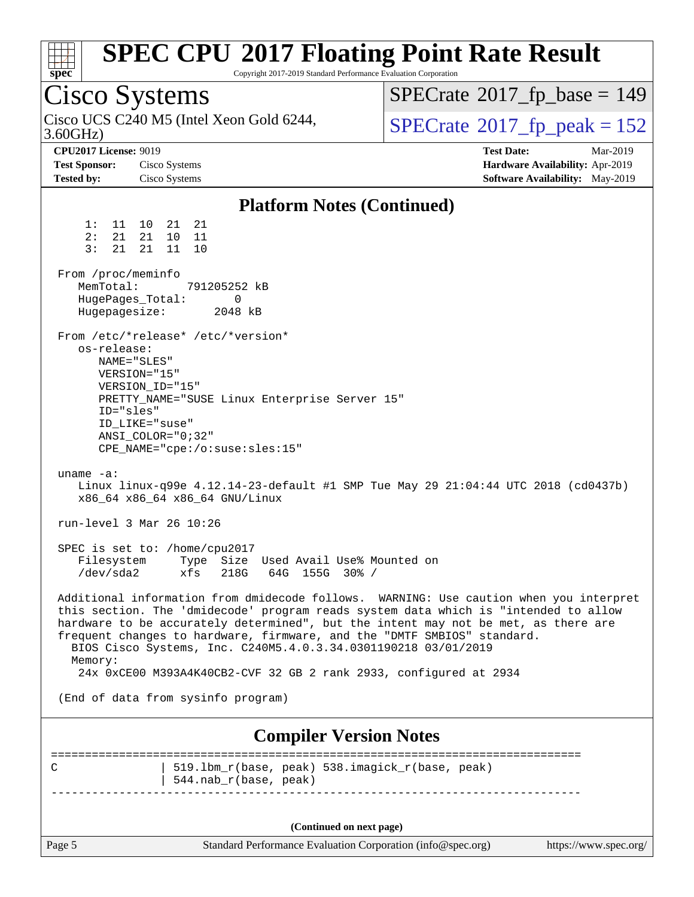| spec                                                                 | Copyright 2017-2019 Standard Performance Evaluation Corporation                                                                                                                                                   | <b>SPEC CPU®2017 Floating Point Rate Result</b>                                                                                                                                                                                                                     |  |  |
|----------------------------------------------------------------------|-------------------------------------------------------------------------------------------------------------------------------------------------------------------------------------------------------------------|---------------------------------------------------------------------------------------------------------------------------------------------------------------------------------------------------------------------------------------------------------------------|--|--|
| Cisco Systems                                                        |                                                                                                                                                                                                                   | $SPECrate^{\circ}2017$ _fp_base = 149                                                                                                                                                                                                                               |  |  |
| 3.60GHz                                                              | Cisco UCS C240 M5 (Intel Xeon Gold 6244,                                                                                                                                                                          | $SPECTate^{\circ}2017$ _fp_peak = 152                                                                                                                                                                                                                               |  |  |
| <b>CPU2017 License: 9019</b>                                         |                                                                                                                                                                                                                   | <b>Test Date:</b><br>Mar-2019                                                                                                                                                                                                                                       |  |  |
| <b>Test Sponsor:</b>                                                 | Cisco Systems                                                                                                                                                                                                     | Hardware Availability: Apr-2019                                                                                                                                                                                                                                     |  |  |
| Tested by:                                                           | Cisco Systems                                                                                                                                                                                                     | Software Availability: May-2019                                                                                                                                                                                                                                     |  |  |
|                                                                      | <b>Platform Notes (Continued)</b>                                                                                                                                                                                 |                                                                                                                                                                                                                                                                     |  |  |
| 1:<br>11<br>21<br>2:<br>3:<br>21                                     | 10<br>21<br>21<br>21<br>10<br>- 11<br>21<br>11<br>10                                                                                                                                                              |                                                                                                                                                                                                                                                                     |  |  |
| From /proc/meminfo<br>MemTotal:<br>HugePages_Total:<br>Hugepagesize: | 791205252 kB<br>0<br>2048 kB                                                                                                                                                                                      |                                                                                                                                                                                                                                                                     |  |  |
| os-release:<br>ID="sles"                                             | From /etc/*release* /etc/*version*<br>NAME="SLES"<br>VERSION="15"<br>VERSION_ID="15"<br>PRETTY_NAME="SUSE Linux Enterprise Server 15"<br>ID LIKE="suse"<br>$ANSI$ _COLOR="0;32"<br>CPE_NAME="cpe:/o:suse:sles:15" |                                                                                                                                                                                                                                                                     |  |  |
| uname $-a$ :                                                         | x86_64 x86_64 x86_64 GNU/Linux                                                                                                                                                                                    | Linux linux-q99e 4.12.14-23-default #1 SMP Tue May 29 21:04:44 UTC 2018 (cd0437b)                                                                                                                                                                                   |  |  |
|                                                                      | run-level 3 Mar 26 10:26                                                                                                                                                                                          |                                                                                                                                                                                                                                                                     |  |  |
| /dev/sda2                                                            | SPEC is set to: /home/cpu2017<br>Filesystem Type Size Used Avail Use% Mounted on<br>xfs<br>218G<br>64G 155G 30% /                                                                                                 |                                                                                                                                                                                                                                                                     |  |  |
| Memory:                                                              | frequent changes to hardware, firmware, and the "DMTF SMBIOS" standard.<br>BIOS Cisco Systems, Inc. C240M5.4.0.3.34.0301190218 03/01/2019<br>24x 0xCE00 M393A4K40CB2-CVF 32 GB 2 rank 2933, configured at 2934    | Additional information from dmidecode follows. WARNING: Use caution when you interpret<br>this section. The 'dmidecode' program reads system data which is "intended to allow<br>hardware to be accurately determined", but the intent may not be met, as there are |  |  |
|                                                                      | (End of data from sysinfo program)                                                                                                                                                                                |                                                                                                                                                                                                                                                                     |  |  |
| <b>Compiler Version Notes</b>                                        |                                                                                                                                                                                                                   |                                                                                                                                                                                                                                                                     |  |  |
| C                                                                    | 519.1bm_r(base, peak) 538.imagick_r(base, peak)<br>544.nab_r(base, peak)                                                                                                                                          |                                                                                                                                                                                                                                                                     |  |  |
|                                                                      | (Continued on next page)                                                                                                                                                                                          |                                                                                                                                                                                                                                                                     |  |  |

Page 5 Standard Performance Evaluation Corporation [\(info@spec.org\)](mailto:info@spec.org) <https://www.spec.org/>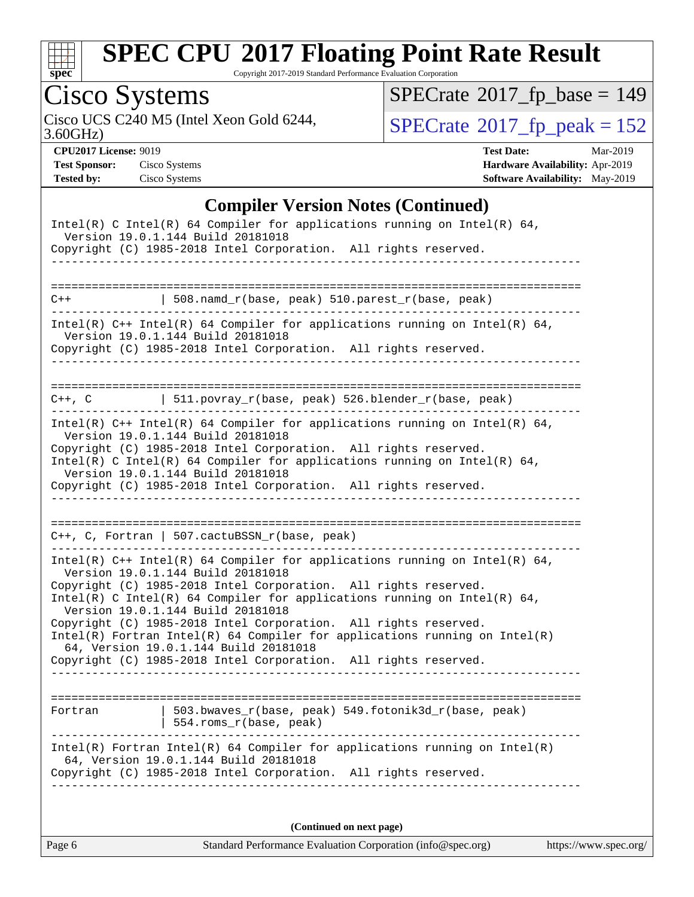

Copyright 2017-2019 Standard Performance Evaluation Corporation

# Cisco Systems

3.60GHz) Cisco UCS C240 M5 (Intel Xeon Gold 6244,  $SPECrate@2017_fp\_peak = 152$  $SPECrate@2017_fp\_peak = 152$ 

 $SPECrate$ <sup>®</sup>[2017\\_fp\\_base =](http://www.spec.org/auto/cpu2017/Docs/result-fields.html#SPECrate2017fpbase) 149

**[CPU2017 License:](http://www.spec.org/auto/cpu2017/Docs/result-fields.html#CPU2017License)** 9019 **[Test Date:](http://www.spec.org/auto/cpu2017/Docs/result-fields.html#TestDate)** Mar-2019 **[Test Sponsor:](http://www.spec.org/auto/cpu2017/Docs/result-fields.html#TestSponsor)** Cisco Systems **[Hardware Availability:](http://www.spec.org/auto/cpu2017/Docs/result-fields.html#HardwareAvailability)** Apr-2019 **[Tested by:](http://www.spec.org/auto/cpu2017/Docs/result-fields.html#Testedby)** Cisco Systems **[Software Availability:](http://www.spec.org/auto/cpu2017/Docs/result-fields.html#SoftwareAvailability)** May-2019

### **[Compiler Version Notes \(Continued\)](http://www.spec.org/auto/cpu2017/Docs/result-fields.html#CompilerVersionNotes)**

|         | Intel(R) C Intel(R) 64 Compiler for applications running on Intel(R) 64,<br>Version 19.0.1.144 Build 20181018                                                                                                                                                                                         |                       |
|---------|-------------------------------------------------------------------------------------------------------------------------------------------------------------------------------------------------------------------------------------------------------------------------------------------------------|-----------------------|
|         | Copyright (C) 1985-2018 Intel Corporation. All rights reserved.<br><u> Leonalde Leonalde Le</u> on                                                                                                                                                                                                    |                       |
|         |                                                                                                                                                                                                                                                                                                       |                       |
| $C++$   | $508.n$ amd_r(base, peak) $510.parest_r(base, peak)$                                                                                                                                                                                                                                                  |                       |
|         | Intel(R) $C++$ Intel(R) 64 Compiler for applications running on Intel(R) 64,<br>Version 19.0.1.144 Build 20181018<br>Copyright (C) 1985-2018 Intel Corporation. All rights reserved.                                                                                                                  |                       |
|         | C++, C $ 511.povray_r(base, peak) 526.blender_r(base, peak)$                                                                                                                                                                                                                                          |                       |
|         | Intel(R) $C++$ Intel(R) 64 Compiler for applications running on Intel(R) 64,<br>Version 19.0.1.144 Build 20181018                                                                                                                                                                                     |                       |
|         | Copyright (C) 1985-2018 Intel Corporation. All rights reserved.<br>Intel(R) C Intel(R) 64 Compiler for applications running on Intel(R) 64,<br>Version 19.0.1.144 Build 20181018                                                                                                                      |                       |
|         | Copyright (C) 1985-2018 Intel Corporation. All rights reserved.                                                                                                                                                                                                                                       |                       |
|         |                                                                                                                                                                                                                                                                                                       |                       |
|         | $C++$ , C, Fortran   507.cactuBSSN_r(base, peak)                                                                                                                                                                                                                                                      |                       |
|         | Intel(R) $C++$ Intel(R) 64 Compiler for applications running on Intel(R) 64,<br>Version 19.0.1.144 Build 20181018<br>Copyright (C) 1985-2018 Intel Corporation. All rights reserved.<br>Intel(R) C Intel(R) 64 Compiler for applications running on Intel(R) 64,<br>Version 19.0.1.144 Build 20181018 |                       |
|         | Copyright (C) 1985-2018 Intel Corporation. All rights reserved.<br>$Intel(R)$ Fortran Intel(R) 64 Compiler for applications running on Intel(R)<br>64, Version 19.0.1.144 Build 20181018                                                                                                              |                       |
|         | Copyright (C) 1985-2018 Intel Corporation. All rights reserved.                                                                                                                                                                                                                                       |                       |
|         |                                                                                                                                                                                                                                                                                                       |                       |
| Fortran | 503.bwaves r(base, peak) 549.fotonik3d r(base, peak)<br>554.roms_r(base, peak)                                                                                                                                                                                                                        |                       |
|         | Intel(R) Fortran Intel(R) 64 Compiler for applications running on Intel(R)<br>64, Version 19.0.1.144 Build 20181018<br>Copyright (C) 1985-2018 Intel Corporation. All rights reserved.                                                                                                                |                       |
|         | (Continued on next page)                                                                                                                                                                                                                                                                              |                       |
| Page 6  | Standard Performance Evaluation Corporation (info@spec.org)                                                                                                                                                                                                                                           | https://www.spec.org/ |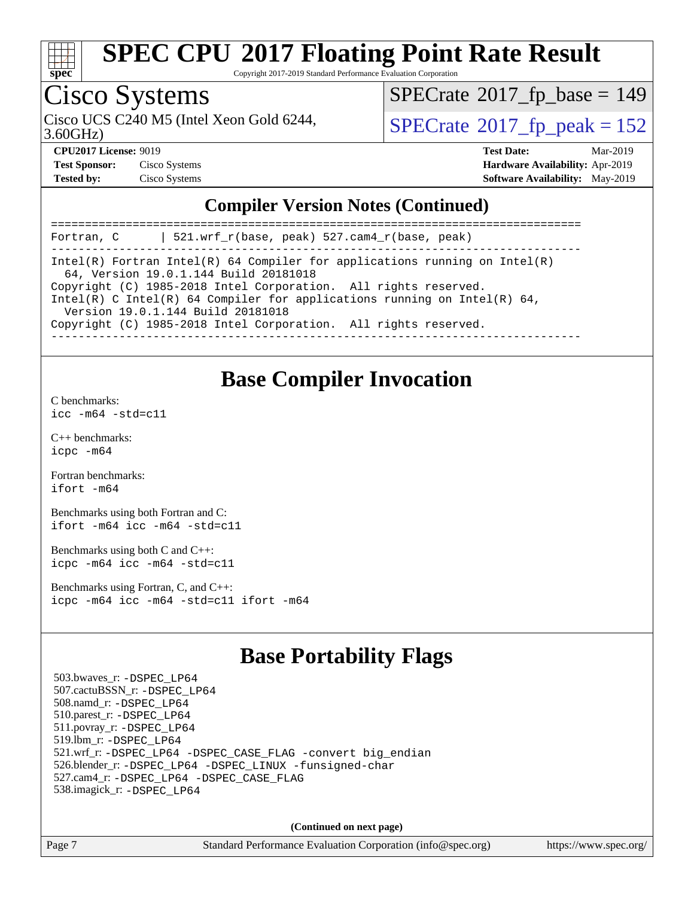

Copyright 2017-2019 Standard Performance Evaluation Corporation

## Cisco Systems

3.60GHz) Cisco UCS C240 M5 (Intel Xeon Gold 6244,  $SPECrate@2017_fp\_peak = 152$  $SPECrate@2017_fp\_peak = 152$ 

 $SPECTate$ <sup>®</sup>[2017\\_fp\\_base =](http://www.spec.org/auto/cpu2017/Docs/result-fields.html#SPECrate2017fpbase) 149

| <b>Test Sponsor:</b> | Cisco Systems |
|----------------------|---------------|
| <b>Tested by:</b>    | Cisco Systems |

**[CPU2017 License:](http://www.spec.org/auto/cpu2017/Docs/result-fields.html#CPU2017License)** 9019 **[Test Date:](http://www.spec.org/auto/cpu2017/Docs/result-fields.html#TestDate)** Mar-2019 **[Hardware Availability:](http://www.spec.org/auto/cpu2017/Docs/result-fields.html#HardwareAvailability)** Apr-2019 **[Software Availability:](http://www.spec.org/auto/cpu2017/Docs/result-fields.html#SoftwareAvailability)** May-2019

### **[Compiler Version Notes \(Continued\)](http://www.spec.org/auto/cpu2017/Docs/result-fields.html#CompilerVersionNotes)**

| $521.wrf_r(base, peak) 527.cam4_r(base, peak)$<br>Fortran, C                                                        |  |  |  |  |
|---------------------------------------------------------------------------------------------------------------------|--|--|--|--|
| Intel(R) Fortran Intel(R) 64 Compiler for applications running on Intel(R)<br>64, Version 19.0.1.144 Build 20181018 |  |  |  |  |
| Copyright (C) 1985-2018 Intel Corporation. All rights reserved.                                                     |  |  |  |  |
| Intel(R) C Intel(R) 64 Compiler for applications running on Intel(R) 64,<br>Version 19.0.1.144 Build 20181018       |  |  |  |  |
| Copyright (C) 1985-2018 Intel Corporation. All rights reserved.                                                     |  |  |  |  |
|                                                                                                                     |  |  |  |  |

### **[Base Compiler Invocation](http://www.spec.org/auto/cpu2017/Docs/result-fields.html#BaseCompilerInvocation)**

[C benchmarks](http://www.spec.org/auto/cpu2017/Docs/result-fields.html#Cbenchmarks):

[icc -m64 -std=c11](http://www.spec.org/cpu2017/results/res2019q3/cpu2017-20190819-16762.flags.html#user_CCbase_intel_icc_64bit_c11_33ee0cdaae7deeeab2a9725423ba97205ce30f63b9926c2519791662299b76a0318f32ddfffdc46587804de3178b4f9328c46fa7c2b0cd779d7a61945c91cd35)

[C++ benchmarks:](http://www.spec.org/auto/cpu2017/Docs/result-fields.html#CXXbenchmarks) [icpc -m64](http://www.spec.org/cpu2017/results/res2019q3/cpu2017-20190819-16762.flags.html#user_CXXbase_intel_icpc_64bit_4ecb2543ae3f1412ef961e0650ca070fec7b7afdcd6ed48761b84423119d1bf6bdf5cad15b44d48e7256388bc77273b966e5eb805aefd121eb22e9299b2ec9d9)

[Fortran benchmarks](http://www.spec.org/auto/cpu2017/Docs/result-fields.html#Fortranbenchmarks): [ifort -m64](http://www.spec.org/cpu2017/results/res2019q3/cpu2017-20190819-16762.flags.html#user_FCbase_intel_ifort_64bit_24f2bb282fbaeffd6157abe4f878425411749daecae9a33200eee2bee2fe76f3b89351d69a8130dd5949958ce389cf37ff59a95e7a40d588e8d3a57e0c3fd751)

[Benchmarks using both Fortran and C](http://www.spec.org/auto/cpu2017/Docs/result-fields.html#BenchmarksusingbothFortranandC): [ifort -m64](http://www.spec.org/cpu2017/results/res2019q3/cpu2017-20190819-16762.flags.html#user_CC_FCbase_intel_ifort_64bit_24f2bb282fbaeffd6157abe4f878425411749daecae9a33200eee2bee2fe76f3b89351d69a8130dd5949958ce389cf37ff59a95e7a40d588e8d3a57e0c3fd751) [icc -m64 -std=c11](http://www.spec.org/cpu2017/results/res2019q3/cpu2017-20190819-16762.flags.html#user_CC_FCbase_intel_icc_64bit_c11_33ee0cdaae7deeeab2a9725423ba97205ce30f63b9926c2519791662299b76a0318f32ddfffdc46587804de3178b4f9328c46fa7c2b0cd779d7a61945c91cd35)

[Benchmarks using both C and C++](http://www.spec.org/auto/cpu2017/Docs/result-fields.html#BenchmarksusingbothCandCXX): [icpc -m64](http://www.spec.org/cpu2017/results/res2019q3/cpu2017-20190819-16762.flags.html#user_CC_CXXbase_intel_icpc_64bit_4ecb2543ae3f1412ef961e0650ca070fec7b7afdcd6ed48761b84423119d1bf6bdf5cad15b44d48e7256388bc77273b966e5eb805aefd121eb22e9299b2ec9d9) [icc -m64 -std=c11](http://www.spec.org/cpu2017/results/res2019q3/cpu2017-20190819-16762.flags.html#user_CC_CXXbase_intel_icc_64bit_c11_33ee0cdaae7deeeab2a9725423ba97205ce30f63b9926c2519791662299b76a0318f32ddfffdc46587804de3178b4f9328c46fa7c2b0cd779d7a61945c91cd35)

[Benchmarks using Fortran, C, and C++:](http://www.spec.org/auto/cpu2017/Docs/result-fields.html#BenchmarksusingFortranCandCXX) [icpc -m64](http://www.spec.org/cpu2017/results/res2019q3/cpu2017-20190819-16762.flags.html#user_CC_CXX_FCbase_intel_icpc_64bit_4ecb2543ae3f1412ef961e0650ca070fec7b7afdcd6ed48761b84423119d1bf6bdf5cad15b44d48e7256388bc77273b966e5eb805aefd121eb22e9299b2ec9d9) [icc -m64 -std=c11](http://www.spec.org/cpu2017/results/res2019q3/cpu2017-20190819-16762.flags.html#user_CC_CXX_FCbase_intel_icc_64bit_c11_33ee0cdaae7deeeab2a9725423ba97205ce30f63b9926c2519791662299b76a0318f32ddfffdc46587804de3178b4f9328c46fa7c2b0cd779d7a61945c91cd35) [ifort -m64](http://www.spec.org/cpu2017/results/res2019q3/cpu2017-20190819-16762.flags.html#user_CC_CXX_FCbase_intel_ifort_64bit_24f2bb282fbaeffd6157abe4f878425411749daecae9a33200eee2bee2fe76f3b89351d69a8130dd5949958ce389cf37ff59a95e7a40d588e8d3a57e0c3fd751)

### **[Base Portability Flags](http://www.spec.org/auto/cpu2017/Docs/result-fields.html#BasePortabilityFlags)**

 503.bwaves\_r: [-DSPEC\\_LP64](http://www.spec.org/cpu2017/results/res2019q3/cpu2017-20190819-16762.flags.html#suite_basePORTABILITY503_bwaves_r_DSPEC_LP64) 507.cactuBSSN\_r: [-DSPEC\\_LP64](http://www.spec.org/cpu2017/results/res2019q3/cpu2017-20190819-16762.flags.html#suite_basePORTABILITY507_cactuBSSN_r_DSPEC_LP64) 508.namd\_r: [-DSPEC\\_LP64](http://www.spec.org/cpu2017/results/res2019q3/cpu2017-20190819-16762.flags.html#suite_basePORTABILITY508_namd_r_DSPEC_LP64) 510.parest\_r: [-DSPEC\\_LP64](http://www.spec.org/cpu2017/results/res2019q3/cpu2017-20190819-16762.flags.html#suite_basePORTABILITY510_parest_r_DSPEC_LP64) 511.povray\_r: [-DSPEC\\_LP64](http://www.spec.org/cpu2017/results/res2019q3/cpu2017-20190819-16762.flags.html#suite_basePORTABILITY511_povray_r_DSPEC_LP64) 519.lbm\_r: [-DSPEC\\_LP64](http://www.spec.org/cpu2017/results/res2019q3/cpu2017-20190819-16762.flags.html#suite_basePORTABILITY519_lbm_r_DSPEC_LP64) 521.wrf\_r: [-DSPEC\\_LP64](http://www.spec.org/cpu2017/results/res2019q3/cpu2017-20190819-16762.flags.html#suite_basePORTABILITY521_wrf_r_DSPEC_LP64) [-DSPEC\\_CASE\\_FLAG](http://www.spec.org/cpu2017/results/res2019q3/cpu2017-20190819-16762.flags.html#b521.wrf_r_baseCPORTABILITY_DSPEC_CASE_FLAG) [-convert big\\_endian](http://www.spec.org/cpu2017/results/res2019q3/cpu2017-20190819-16762.flags.html#user_baseFPORTABILITY521_wrf_r_convert_big_endian_c3194028bc08c63ac5d04de18c48ce6d347e4e562e8892b8bdbdc0214820426deb8554edfa529a3fb25a586e65a3d812c835984020483e7e73212c4d31a38223) 526.blender\_r: [-DSPEC\\_LP64](http://www.spec.org/cpu2017/results/res2019q3/cpu2017-20190819-16762.flags.html#suite_basePORTABILITY526_blender_r_DSPEC_LP64) [-DSPEC\\_LINUX](http://www.spec.org/cpu2017/results/res2019q3/cpu2017-20190819-16762.flags.html#b526.blender_r_baseCPORTABILITY_DSPEC_LINUX) [-funsigned-char](http://www.spec.org/cpu2017/results/res2019q3/cpu2017-20190819-16762.flags.html#user_baseCPORTABILITY526_blender_r_force_uchar_40c60f00ab013830e2dd6774aeded3ff59883ba5a1fc5fc14077f794d777847726e2a5858cbc7672e36e1b067e7e5c1d9a74f7176df07886a243d7cc18edfe67) 527.cam4\_r: [-DSPEC\\_LP64](http://www.spec.org/cpu2017/results/res2019q3/cpu2017-20190819-16762.flags.html#suite_basePORTABILITY527_cam4_r_DSPEC_LP64) [-DSPEC\\_CASE\\_FLAG](http://www.spec.org/cpu2017/results/res2019q3/cpu2017-20190819-16762.flags.html#b527.cam4_r_baseCPORTABILITY_DSPEC_CASE_FLAG) 538.imagick\_r: [-DSPEC\\_LP64](http://www.spec.org/cpu2017/results/res2019q3/cpu2017-20190819-16762.flags.html#suite_basePORTABILITY538_imagick_r_DSPEC_LP64)

**(Continued on next page)**

Page 7 Standard Performance Evaluation Corporation [\(info@spec.org\)](mailto:info@spec.org) <https://www.spec.org/>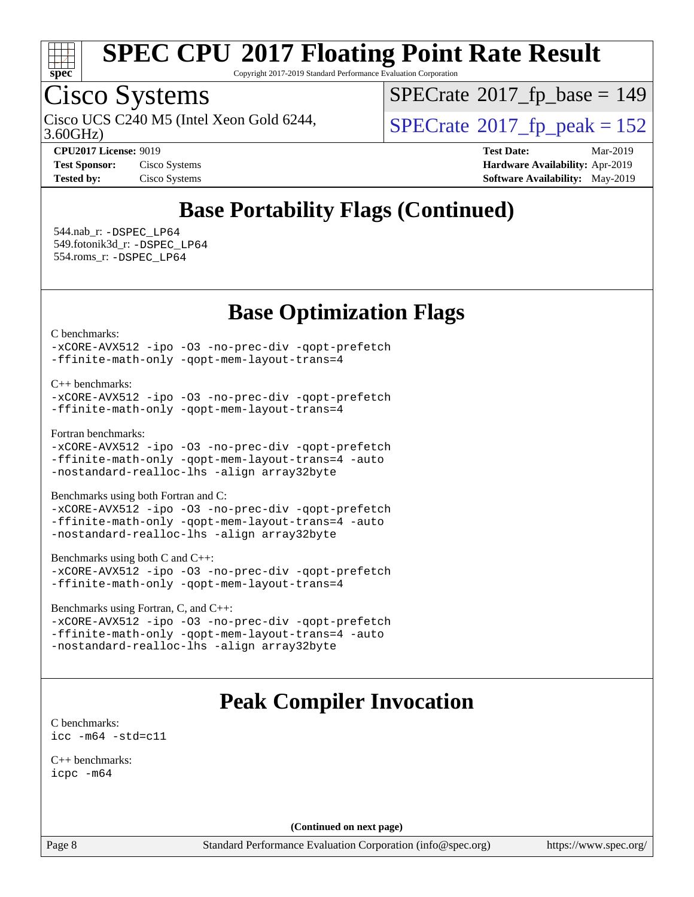

Copyright 2017-2019 Standard Performance Evaluation Corporation

## Cisco Systems

3.60GHz) Cisco UCS C240 M5 (Intel Xeon Gold 6244,  $SPECrate@2017_fp\_peak = 152$  $SPECrate@2017_fp\_peak = 152$ 

 $SPECrate$ <sup>®</sup>[2017\\_fp\\_base =](http://www.spec.org/auto/cpu2017/Docs/result-fields.html#SPECrate2017fpbase) 149

**[CPU2017 License:](http://www.spec.org/auto/cpu2017/Docs/result-fields.html#CPU2017License)** 9019 **[Test Date:](http://www.spec.org/auto/cpu2017/Docs/result-fields.html#TestDate)** Mar-2019 **[Test Sponsor:](http://www.spec.org/auto/cpu2017/Docs/result-fields.html#TestSponsor)** Cisco Systems **[Hardware Availability:](http://www.spec.org/auto/cpu2017/Docs/result-fields.html#HardwareAvailability)** Apr-2019 **[Tested by:](http://www.spec.org/auto/cpu2017/Docs/result-fields.html#Testedby)** Cisco Systems **[Software Availability:](http://www.spec.org/auto/cpu2017/Docs/result-fields.html#SoftwareAvailability)** May-2019

## **[Base Portability Flags \(Continued\)](http://www.spec.org/auto/cpu2017/Docs/result-fields.html#BasePortabilityFlags)**

 544.nab\_r: [-DSPEC\\_LP64](http://www.spec.org/cpu2017/results/res2019q3/cpu2017-20190819-16762.flags.html#suite_basePORTABILITY544_nab_r_DSPEC_LP64) 549.fotonik3d\_r: [-DSPEC\\_LP64](http://www.spec.org/cpu2017/results/res2019q3/cpu2017-20190819-16762.flags.html#suite_basePORTABILITY549_fotonik3d_r_DSPEC_LP64) 554.roms\_r: [-DSPEC\\_LP64](http://www.spec.org/cpu2017/results/res2019q3/cpu2017-20190819-16762.flags.html#suite_basePORTABILITY554_roms_r_DSPEC_LP64)

### **[Base Optimization Flags](http://www.spec.org/auto/cpu2017/Docs/result-fields.html#BaseOptimizationFlags)**

[C benchmarks](http://www.spec.org/auto/cpu2017/Docs/result-fields.html#Cbenchmarks):

[-xCORE-AVX512](http://www.spec.org/cpu2017/results/res2019q3/cpu2017-20190819-16762.flags.html#user_CCbase_f-xCORE-AVX512) [-ipo](http://www.spec.org/cpu2017/results/res2019q3/cpu2017-20190819-16762.flags.html#user_CCbase_f-ipo) [-O3](http://www.spec.org/cpu2017/results/res2019q3/cpu2017-20190819-16762.flags.html#user_CCbase_f-O3) [-no-prec-div](http://www.spec.org/cpu2017/results/res2019q3/cpu2017-20190819-16762.flags.html#user_CCbase_f-no-prec-div) [-qopt-prefetch](http://www.spec.org/cpu2017/results/res2019q3/cpu2017-20190819-16762.flags.html#user_CCbase_f-qopt-prefetch) [-ffinite-math-only](http://www.spec.org/cpu2017/results/res2019q3/cpu2017-20190819-16762.flags.html#user_CCbase_f_finite_math_only_cb91587bd2077682c4b38af759c288ed7c732db004271a9512da14a4f8007909a5f1427ecbf1a0fb78ff2a814402c6114ac565ca162485bbcae155b5e4258871) [-qopt-mem-layout-trans=4](http://www.spec.org/cpu2017/results/res2019q3/cpu2017-20190819-16762.flags.html#user_CCbase_f-qopt-mem-layout-trans_fa39e755916c150a61361b7846f310bcdf6f04e385ef281cadf3647acec3f0ae266d1a1d22d972a7087a248fd4e6ca390a3634700869573d231a252c784941a8)

[C++ benchmarks:](http://www.spec.org/auto/cpu2017/Docs/result-fields.html#CXXbenchmarks)

[-xCORE-AVX512](http://www.spec.org/cpu2017/results/res2019q3/cpu2017-20190819-16762.flags.html#user_CXXbase_f-xCORE-AVX512) [-ipo](http://www.spec.org/cpu2017/results/res2019q3/cpu2017-20190819-16762.flags.html#user_CXXbase_f-ipo) [-O3](http://www.spec.org/cpu2017/results/res2019q3/cpu2017-20190819-16762.flags.html#user_CXXbase_f-O3) [-no-prec-div](http://www.spec.org/cpu2017/results/res2019q3/cpu2017-20190819-16762.flags.html#user_CXXbase_f-no-prec-div) [-qopt-prefetch](http://www.spec.org/cpu2017/results/res2019q3/cpu2017-20190819-16762.flags.html#user_CXXbase_f-qopt-prefetch) [-ffinite-math-only](http://www.spec.org/cpu2017/results/res2019q3/cpu2017-20190819-16762.flags.html#user_CXXbase_f_finite_math_only_cb91587bd2077682c4b38af759c288ed7c732db004271a9512da14a4f8007909a5f1427ecbf1a0fb78ff2a814402c6114ac565ca162485bbcae155b5e4258871) [-qopt-mem-layout-trans=4](http://www.spec.org/cpu2017/results/res2019q3/cpu2017-20190819-16762.flags.html#user_CXXbase_f-qopt-mem-layout-trans_fa39e755916c150a61361b7846f310bcdf6f04e385ef281cadf3647acec3f0ae266d1a1d22d972a7087a248fd4e6ca390a3634700869573d231a252c784941a8)

[Fortran benchmarks](http://www.spec.org/auto/cpu2017/Docs/result-fields.html#Fortranbenchmarks):

[-xCORE-AVX512](http://www.spec.org/cpu2017/results/res2019q3/cpu2017-20190819-16762.flags.html#user_FCbase_f-xCORE-AVX512) [-ipo](http://www.spec.org/cpu2017/results/res2019q3/cpu2017-20190819-16762.flags.html#user_FCbase_f-ipo) [-O3](http://www.spec.org/cpu2017/results/res2019q3/cpu2017-20190819-16762.flags.html#user_FCbase_f-O3) [-no-prec-div](http://www.spec.org/cpu2017/results/res2019q3/cpu2017-20190819-16762.flags.html#user_FCbase_f-no-prec-div) [-qopt-prefetch](http://www.spec.org/cpu2017/results/res2019q3/cpu2017-20190819-16762.flags.html#user_FCbase_f-qopt-prefetch) [-ffinite-math-only](http://www.spec.org/cpu2017/results/res2019q3/cpu2017-20190819-16762.flags.html#user_FCbase_f_finite_math_only_cb91587bd2077682c4b38af759c288ed7c732db004271a9512da14a4f8007909a5f1427ecbf1a0fb78ff2a814402c6114ac565ca162485bbcae155b5e4258871) [-qopt-mem-layout-trans=4](http://www.spec.org/cpu2017/results/res2019q3/cpu2017-20190819-16762.flags.html#user_FCbase_f-qopt-mem-layout-trans_fa39e755916c150a61361b7846f310bcdf6f04e385ef281cadf3647acec3f0ae266d1a1d22d972a7087a248fd4e6ca390a3634700869573d231a252c784941a8) [-auto](http://www.spec.org/cpu2017/results/res2019q3/cpu2017-20190819-16762.flags.html#user_FCbase_f-auto) [-nostandard-realloc-lhs](http://www.spec.org/cpu2017/results/res2019q3/cpu2017-20190819-16762.flags.html#user_FCbase_f_2003_std_realloc_82b4557e90729c0f113870c07e44d33d6f5a304b4f63d4c15d2d0f1fab99f5daaed73bdb9275d9ae411527f28b936061aa8b9c8f2d63842963b95c9dd6426b8a) [-align array32byte](http://www.spec.org/cpu2017/results/res2019q3/cpu2017-20190819-16762.flags.html#user_FCbase_align_array32byte_b982fe038af199962ba9a80c053b8342c548c85b40b8e86eb3cc33dee0d7986a4af373ac2d51c3f7cf710a18d62fdce2948f201cd044323541f22fc0fffc51b6)

[Benchmarks using both Fortran and C](http://www.spec.org/auto/cpu2017/Docs/result-fields.html#BenchmarksusingbothFortranandC):

[-xCORE-AVX512](http://www.spec.org/cpu2017/results/res2019q3/cpu2017-20190819-16762.flags.html#user_CC_FCbase_f-xCORE-AVX512) [-ipo](http://www.spec.org/cpu2017/results/res2019q3/cpu2017-20190819-16762.flags.html#user_CC_FCbase_f-ipo) [-O3](http://www.spec.org/cpu2017/results/res2019q3/cpu2017-20190819-16762.flags.html#user_CC_FCbase_f-O3) [-no-prec-div](http://www.spec.org/cpu2017/results/res2019q3/cpu2017-20190819-16762.flags.html#user_CC_FCbase_f-no-prec-div) [-qopt-prefetch](http://www.spec.org/cpu2017/results/res2019q3/cpu2017-20190819-16762.flags.html#user_CC_FCbase_f-qopt-prefetch) [-ffinite-math-only](http://www.spec.org/cpu2017/results/res2019q3/cpu2017-20190819-16762.flags.html#user_CC_FCbase_f_finite_math_only_cb91587bd2077682c4b38af759c288ed7c732db004271a9512da14a4f8007909a5f1427ecbf1a0fb78ff2a814402c6114ac565ca162485bbcae155b5e4258871) [-qopt-mem-layout-trans=4](http://www.spec.org/cpu2017/results/res2019q3/cpu2017-20190819-16762.flags.html#user_CC_FCbase_f-qopt-mem-layout-trans_fa39e755916c150a61361b7846f310bcdf6f04e385ef281cadf3647acec3f0ae266d1a1d22d972a7087a248fd4e6ca390a3634700869573d231a252c784941a8) [-auto](http://www.spec.org/cpu2017/results/res2019q3/cpu2017-20190819-16762.flags.html#user_CC_FCbase_f-auto) [-nostandard-realloc-lhs](http://www.spec.org/cpu2017/results/res2019q3/cpu2017-20190819-16762.flags.html#user_CC_FCbase_f_2003_std_realloc_82b4557e90729c0f113870c07e44d33d6f5a304b4f63d4c15d2d0f1fab99f5daaed73bdb9275d9ae411527f28b936061aa8b9c8f2d63842963b95c9dd6426b8a) [-align array32byte](http://www.spec.org/cpu2017/results/res2019q3/cpu2017-20190819-16762.flags.html#user_CC_FCbase_align_array32byte_b982fe038af199962ba9a80c053b8342c548c85b40b8e86eb3cc33dee0d7986a4af373ac2d51c3f7cf710a18d62fdce2948f201cd044323541f22fc0fffc51b6)

[Benchmarks using both C and C++](http://www.spec.org/auto/cpu2017/Docs/result-fields.html#BenchmarksusingbothCandCXX):

|                                             |  | -xCORE-AVX512 -ipo -03 -no-prec-div -qopt-prefetch |
|---------------------------------------------|--|----------------------------------------------------|
| -ffinite-math-only -qopt-mem-layout-trans=4 |  |                                                    |

[Benchmarks using Fortran, C, and C++:](http://www.spec.org/auto/cpu2017/Docs/result-fields.html#BenchmarksusingFortranCandCXX)

[-xCORE-AVX512](http://www.spec.org/cpu2017/results/res2019q3/cpu2017-20190819-16762.flags.html#user_CC_CXX_FCbase_f-xCORE-AVX512) [-ipo](http://www.spec.org/cpu2017/results/res2019q3/cpu2017-20190819-16762.flags.html#user_CC_CXX_FCbase_f-ipo) [-O3](http://www.spec.org/cpu2017/results/res2019q3/cpu2017-20190819-16762.flags.html#user_CC_CXX_FCbase_f-O3) [-no-prec-div](http://www.spec.org/cpu2017/results/res2019q3/cpu2017-20190819-16762.flags.html#user_CC_CXX_FCbase_f-no-prec-div) [-qopt-prefetch](http://www.spec.org/cpu2017/results/res2019q3/cpu2017-20190819-16762.flags.html#user_CC_CXX_FCbase_f-qopt-prefetch) [-ffinite-math-only](http://www.spec.org/cpu2017/results/res2019q3/cpu2017-20190819-16762.flags.html#user_CC_CXX_FCbase_f_finite_math_only_cb91587bd2077682c4b38af759c288ed7c732db004271a9512da14a4f8007909a5f1427ecbf1a0fb78ff2a814402c6114ac565ca162485bbcae155b5e4258871) [-qopt-mem-layout-trans=4](http://www.spec.org/cpu2017/results/res2019q3/cpu2017-20190819-16762.flags.html#user_CC_CXX_FCbase_f-qopt-mem-layout-trans_fa39e755916c150a61361b7846f310bcdf6f04e385ef281cadf3647acec3f0ae266d1a1d22d972a7087a248fd4e6ca390a3634700869573d231a252c784941a8) [-auto](http://www.spec.org/cpu2017/results/res2019q3/cpu2017-20190819-16762.flags.html#user_CC_CXX_FCbase_f-auto) [-nostandard-realloc-lhs](http://www.spec.org/cpu2017/results/res2019q3/cpu2017-20190819-16762.flags.html#user_CC_CXX_FCbase_f_2003_std_realloc_82b4557e90729c0f113870c07e44d33d6f5a304b4f63d4c15d2d0f1fab99f5daaed73bdb9275d9ae411527f28b936061aa8b9c8f2d63842963b95c9dd6426b8a) [-align array32byte](http://www.spec.org/cpu2017/results/res2019q3/cpu2017-20190819-16762.flags.html#user_CC_CXX_FCbase_align_array32byte_b982fe038af199962ba9a80c053b8342c548c85b40b8e86eb3cc33dee0d7986a4af373ac2d51c3f7cf710a18d62fdce2948f201cd044323541f22fc0fffc51b6)

## **[Peak Compiler Invocation](http://www.spec.org/auto/cpu2017/Docs/result-fields.html#PeakCompilerInvocation)**

[C benchmarks](http://www.spec.org/auto/cpu2017/Docs/result-fields.html#Cbenchmarks): [icc -m64 -std=c11](http://www.spec.org/cpu2017/results/res2019q3/cpu2017-20190819-16762.flags.html#user_CCpeak_intel_icc_64bit_c11_33ee0cdaae7deeeab2a9725423ba97205ce30f63b9926c2519791662299b76a0318f32ddfffdc46587804de3178b4f9328c46fa7c2b0cd779d7a61945c91cd35)

[C++ benchmarks:](http://www.spec.org/auto/cpu2017/Docs/result-fields.html#CXXbenchmarks) [icpc -m64](http://www.spec.org/cpu2017/results/res2019q3/cpu2017-20190819-16762.flags.html#user_CXXpeak_intel_icpc_64bit_4ecb2543ae3f1412ef961e0650ca070fec7b7afdcd6ed48761b84423119d1bf6bdf5cad15b44d48e7256388bc77273b966e5eb805aefd121eb22e9299b2ec9d9)

**(Continued on next page)**

Page 8 Standard Performance Evaluation Corporation [\(info@spec.org\)](mailto:info@spec.org) <https://www.spec.org/>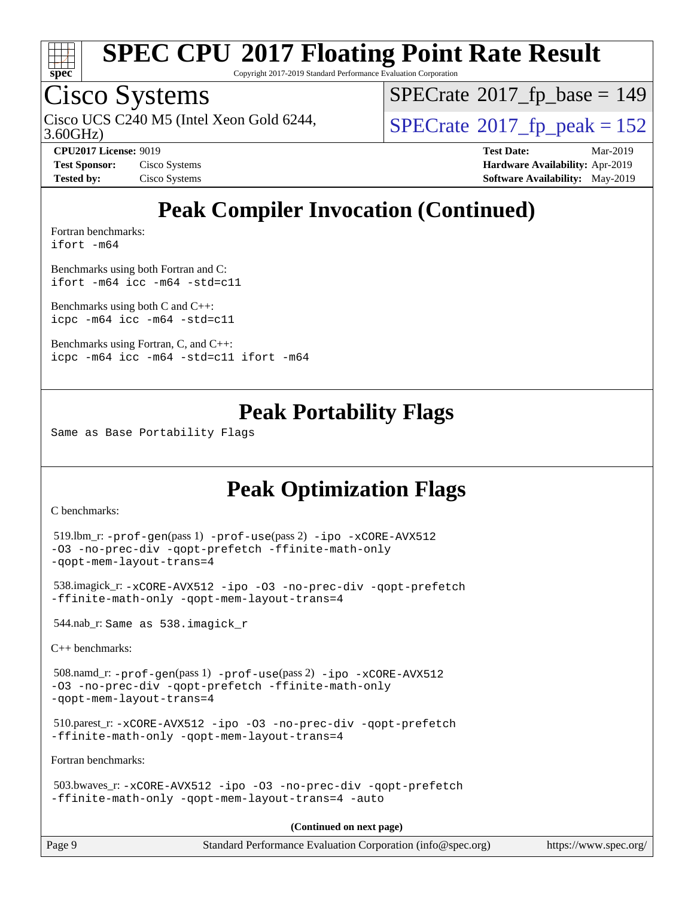

Copyright 2017-2019 Standard Performance Evaluation Corporation

## Cisco Systems

3.60GHz) Cisco UCS C240 M5 (Intel Xeon Gold 6244,  $SPECrate@2017_fp\_peak = 152$  $SPECrate@2017_fp\_peak = 152$ 

 $SPECTate$ <sup>®</sup>[2017\\_fp\\_base =](http://www.spec.org/auto/cpu2017/Docs/result-fields.html#SPECrate2017fpbase) 149

**[CPU2017 License:](http://www.spec.org/auto/cpu2017/Docs/result-fields.html#CPU2017License)** 9019 **[Test Date:](http://www.spec.org/auto/cpu2017/Docs/result-fields.html#TestDate)** Mar-2019 **[Test Sponsor:](http://www.spec.org/auto/cpu2017/Docs/result-fields.html#TestSponsor)** Cisco Systems **[Hardware Availability:](http://www.spec.org/auto/cpu2017/Docs/result-fields.html#HardwareAvailability)** Apr-2019 **[Tested by:](http://www.spec.org/auto/cpu2017/Docs/result-fields.html#Testedby)** Cisco Systems **[Software Availability:](http://www.spec.org/auto/cpu2017/Docs/result-fields.html#SoftwareAvailability)** May-2019

## **[Peak Compiler Invocation \(Continued\)](http://www.spec.org/auto/cpu2017/Docs/result-fields.html#PeakCompilerInvocation)**

[Fortran benchmarks](http://www.spec.org/auto/cpu2017/Docs/result-fields.html#Fortranbenchmarks): [ifort -m64](http://www.spec.org/cpu2017/results/res2019q3/cpu2017-20190819-16762.flags.html#user_FCpeak_intel_ifort_64bit_24f2bb282fbaeffd6157abe4f878425411749daecae9a33200eee2bee2fe76f3b89351d69a8130dd5949958ce389cf37ff59a95e7a40d588e8d3a57e0c3fd751)

[Benchmarks using both Fortran and C](http://www.spec.org/auto/cpu2017/Docs/result-fields.html#BenchmarksusingbothFortranandC): [ifort -m64](http://www.spec.org/cpu2017/results/res2019q3/cpu2017-20190819-16762.flags.html#user_CC_FCpeak_intel_ifort_64bit_24f2bb282fbaeffd6157abe4f878425411749daecae9a33200eee2bee2fe76f3b89351d69a8130dd5949958ce389cf37ff59a95e7a40d588e8d3a57e0c3fd751) [icc -m64 -std=c11](http://www.spec.org/cpu2017/results/res2019q3/cpu2017-20190819-16762.flags.html#user_CC_FCpeak_intel_icc_64bit_c11_33ee0cdaae7deeeab2a9725423ba97205ce30f63b9926c2519791662299b76a0318f32ddfffdc46587804de3178b4f9328c46fa7c2b0cd779d7a61945c91cd35)

[Benchmarks using both C and C++](http://www.spec.org/auto/cpu2017/Docs/result-fields.html#BenchmarksusingbothCandCXX): [icpc -m64](http://www.spec.org/cpu2017/results/res2019q3/cpu2017-20190819-16762.flags.html#user_CC_CXXpeak_intel_icpc_64bit_4ecb2543ae3f1412ef961e0650ca070fec7b7afdcd6ed48761b84423119d1bf6bdf5cad15b44d48e7256388bc77273b966e5eb805aefd121eb22e9299b2ec9d9) [icc -m64 -std=c11](http://www.spec.org/cpu2017/results/res2019q3/cpu2017-20190819-16762.flags.html#user_CC_CXXpeak_intel_icc_64bit_c11_33ee0cdaae7deeeab2a9725423ba97205ce30f63b9926c2519791662299b76a0318f32ddfffdc46587804de3178b4f9328c46fa7c2b0cd779d7a61945c91cd35)

[Benchmarks using Fortran, C, and C++:](http://www.spec.org/auto/cpu2017/Docs/result-fields.html#BenchmarksusingFortranCandCXX) [icpc -m64](http://www.spec.org/cpu2017/results/res2019q3/cpu2017-20190819-16762.flags.html#user_CC_CXX_FCpeak_intel_icpc_64bit_4ecb2543ae3f1412ef961e0650ca070fec7b7afdcd6ed48761b84423119d1bf6bdf5cad15b44d48e7256388bc77273b966e5eb805aefd121eb22e9299b2ec9d9) [icc -m64 -std=c11](http://www.spec.org/cpu2017/results/res2019q3/cpu2017-20190819-16762.flags.html#user_CC_CXX_FCpeak_intel_icc_64bit_c11_33ee0cdaae7deeeab2a9725423ba97205ce30f63b9926c2519791662299b76a0318f32ddfffdc46587804de3178b4f9328c46fa7c2b0cd779d7a61945c91cd35) [ifort -m64](http://www.spec.org/cpu2017/results/res2019q3/cpu2017-20190819-16762.flags.html#user_CC_CXX_FCpeak_intel_ifort_64bit_24f2bb282fbaeffd6157abe4f878425411749daecae9a33200eee2bee2fe76f3b89351d69a8130dd5949958ce389cf37ff59a95e7a40d588e8d3a57e0c3fd751)

### **[Peak Portability Flags](http://www.spec.org/auto/cpu2017/Docs/result-fields.html#PeakPortabilityFlags)**

Same as Base Portability Flags

## **[Peak Optimization Flags](http://www.spec.org/auto/cpu2017/Docs/result-fields.html#PeakOptimizationFlags)**

[C benchmarks](http://www.spec.org/auto/cpu2017/Docs/result-fields.html#Cbenchmarks):

```
(info@spec.org)https://www.spec.org/
  519.lbm_r: -prof-gen(pass 1) -prof-use(pass 2) -ipo -xCORE-AVX512
-O3 -no-prec-div -qopt-prefetch -ffinite-math-only
-qopt-mem-layout-trans=4
  538.imagick_r: -xCORE-AVX512 -ipo -O3 -no-prec-div -qopt-prefetch
-ffinite-math-only -qopt-mem-layout-trans=4
  544.nab_r: Same as 538.imagick_r
C++ benchmarks: 
  508.namd_r: -prof-gen(pass 1) -prof-use(pass 2) -ipo -xCORE-AVX512
-O3 -no-prec-div -qopt-prefetch -ffinite-math-only
-qopt-mem-layout-trans=4
  510.parest_r: -xCORE-AVX512 -ipo -O3 -no-prec-div -qopt-prefetch
-ffinite-math-only -qopt-mem-layout-trans=4
Fortran benchmarks: 
  503.bwaves_r: -xCORE-AVX512 -ipo -O3 -no-prec-div -qopt-prefetch
-ffinite-math-only -qopt-mem-layout-trans=4 -auto
                                    (Continued on next page)
```